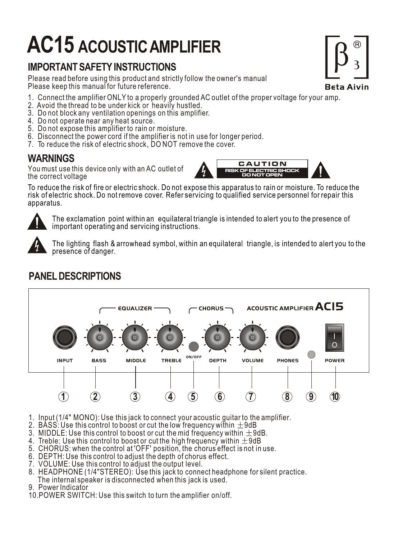# **AC15 ACOUSTIC AMPLIFIER**

## **IMPORTANT SAFETY INSTRUCTIONS**

Please read before using this product and strictly follow the owner's manual Please keep this manual for future reference.

- 1. Connect the amplifier ONLY to a properly grounded AC outlet of the proper voltage for your amp.
- 2. Avoid the thread to be under kick or heavily hustled.
- 3. Do not block any ventilation openings on this amplifier.
- 4. Do not operate near any heat source.
- 5. Do not expose this amplifier to rain or moisture.
- 6. Disconnect the power cord if the amplifier is not in use for longer period.
- 7. To reduce the risk of electric shock, DO NOT remove the cover.

You must use this device only with an AC outlet of the correct voltage



To reduce the risk of fire or electric shock. Do not expose this apparatus to rain or moisture. To reduce the risk of electric shock. Do not remove cover. Refer servicing to qualified service personnel for repair this apparatus.

The exclamation point within an equilateral triangle is intended to alert you to the presence of important operating and servicing instructions.



The lighting flash & arrowhead symbol, within an equilateral triangle, is intended to alert you to the presence of danger.



### **PANEL DESCRIPTIONS**

- 1. Input (1/4" MONO): Use this jack to connect your acoustic guitar to the amplifier.
- 2. BASS: Use this control to boost or cut the low frequency within  $\pm 9$ dB
- 3. MIDDLE: Use this control to boost or cut the mid frequency within  $\pm 9$ dB.
- 4. Treble: Use this control to boost or cut the high frequency within  $\pm 9$ dB
- 5. CHORUS: when the control at 'OFF' position, the chorus effect is not in use.
- 6. DEPTH: Use this control to adjust the depth of chorus effect.
- 7. VOLUME: Use this control to adjust the output level.
- 8. HEADPHONE (1/4"STEREO): Use this jack to connect headphone for silent practice. The internal speaker is disconnected when this jack is used.
- 9. Power Indicator
- 10.POWER SWITCH: Use this switch to turn the amplifier on/off.